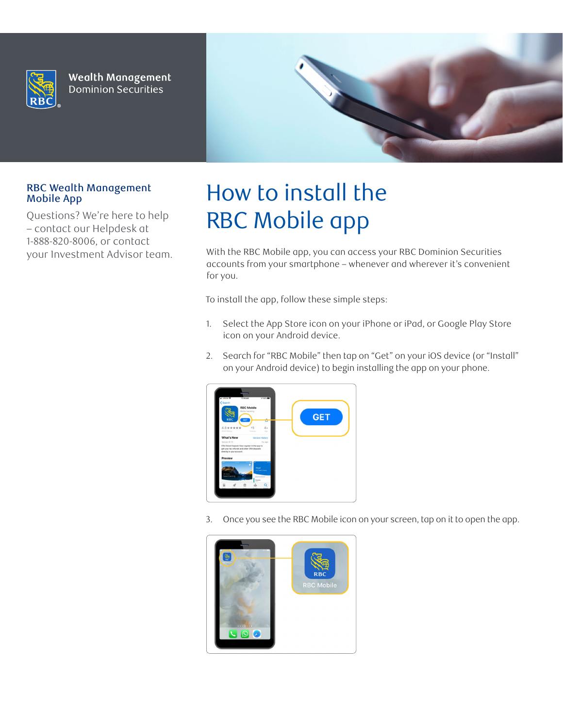

**Wealth Management Dominion Securities** 



## RBC Wealth Management Mobile App

Questions? We're here to help – contact our Helpdesk at 1-888-820-8006, or contact your Investment Advisor team.

## How to install the RBC Mobile app

With the RBC Mobile app, you can access your RBC Dominion Securities accounts from your smartphone – whenever and wherever it's convenient for you.

To install the app, follow these simple steps:

- 1. Select the App Store icon on your iPhone or iPad, or Google Play Store icon on your Android device.
- 2. Search for "RBC Mobile" then tap on "Get" on your iOS device (or "Install" on your Android device) to begin installing the app on your phone.



3. Once you see the RBC Mobile icon on your screen, tap on it to open the app.